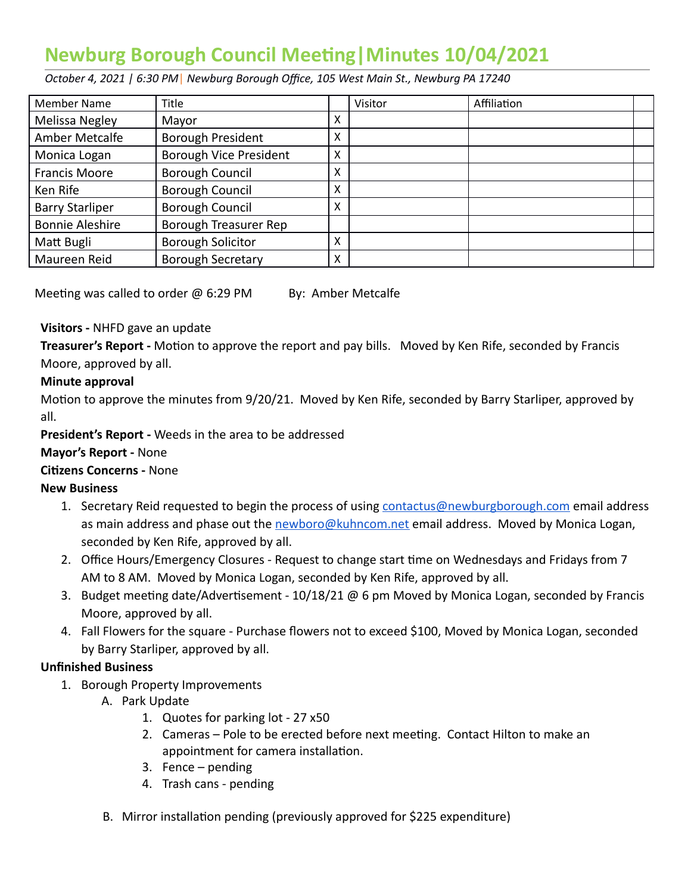# **Newburg Borough Council Meeting | Minutes 10/04/2021**

 *October 4, 2021 | 6:30 PM* | *Newburg Borough Office, 105 West Main St., Newburg PA 17240* 

| <b>Member Name</b>     | <b>Title</b>                  |   | Visitor | Affiliation |  |
|------------------------|-------------------------------|---|---------|-------------|--|
| Melissa Negley         | Mayor                         | X |         |             |  |
| Amber Metcalfe         | <b>Borough President</b>      | X |         |             |  |
| Monica Logan           | <b>Borough Vice President</b> | X |         |             |  |
| <b>Francis Moore</b>   | <b>Borough Council</b>        | X |         |             |  |
| Ken Rife               | <b>Borough Council</b>        | Χ |         |             |  |
| <b>Barry Starliper</b> | <b>Borough Council</b>        | X |         |             |  |
| <b>Bonnie Aleshire</b> | Borough Treasurer Rep         |   |         |             |  |
| Matt Bugli             | <b>Borough Solicitor</b>      | Χ |         |             |  |
| Maureen Reid           | <b>Borough Secretary</b>      | X |         |             |  |

Meeting was called to order  $\omega$  6:29 PM By: Amber Metcalfe

## **Visitors -** NHFD gave an update

**Treasurer's Report -** Motion to approve the report and pay bills. Moved by Ken Rife, seconded by Francis Moore, approved by all.

## **Minute approval**

Motion to approve the minutes from 9/20/21. Moved by Ken Rife, seconded by Barry Starliper, approved by all.

 **President's Report -** Weeds in the area to be addressed

#### **Mayor's Report -** None

#### **Citizens Concerns - None**

#### **New Business**

- 1. Secretary Reid requested to begin the process of using [contactus@newburgborough.com](mailto:contactus@newburgborough.com) email address as main address and phase out the [newboro@kuhncom.net](mailto:newboro@kuhncom.net) email address. Moved by Monica Logan, seconded by Ken Rife, approved by all.
- 2. Office Hours/Emergency Closures Request to change start time on Wednesdays and Fridays from 7 AM to 8 AM. Moved by Monica Logan, seconded by Ken Rife, approved by all.
- 3. Budget meeting date/Advertisement  $10/18/21$  @ 6 pm Moved by Monica Logan, seconded by Francis Moore, approved by all.
- 4. Fall Flowers for the square Purchase flowers not to exceed \$100, Moved by Monica Logan, seconded by Barry Starliper, approved by all.

# **Unfinished Business**

- 1. Borough Property Improvements
	- A. Park Update
		- 1. Quotes for parking lot 27 x50
		- 2. Cameras Pole to be erected before next meeting. Contact Hilton to make an appointment for camera installation.
		- 3. Fence pending
		- 4. Trash cans pending
	- B. Mirror installation pending (previously approved for \$225 expenditure)